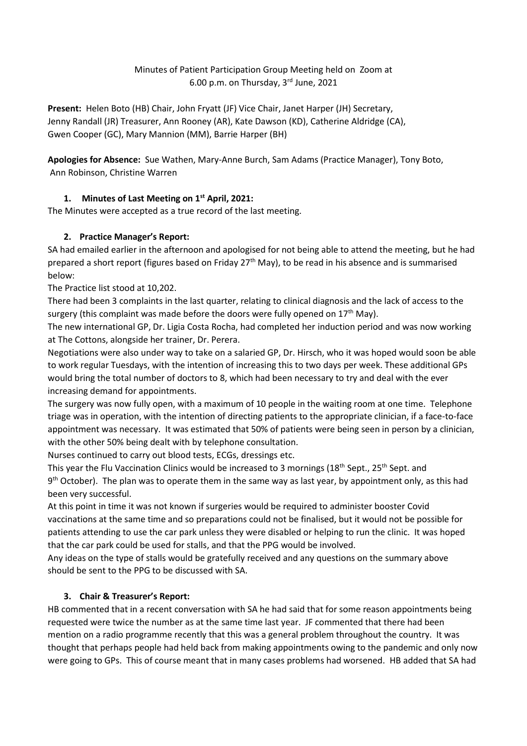# Minutes of Patient Participation Group Meeting held on Zoom at 6.00 p.m. on Thursday, 3rd June, 2021

**Present:** Helen Boto (HB) Chair, John Fryatt (JF) Vice Chair, Janet Harper (JH) Secretary, Jenny Randall (JR) Treasurer, Ann Rooney (AR), Kate Dawson (KD), Catherine Aldridge (CA), Gwen Cooper (GC), Mary Mannion (MM), Barrie Harper (BH)

**Apologies for Absence:** Sue Wathen, Mary-Anne Burch, Sam Adams (Practice Manager), Tony Boto, Ann Robinson, Christine Warren

# **1. Minutes of Last Meeting on 1st April, 2021:**

The Minutes were accepted as a true record of the last meeting.

# **2. Practice Manager's Report:**

SA had emailed earlier in the afternoon and apologised for not being able to attend the meeting, but he had prepared a short report (figures based on Friday 27<sup>th</sup> May), to be read in his absence and is summarised below:

The Practice list stood at 10,202.

There had been 3 complaints in the last quarter, relating to clinical diagnosis and the lack of access to the surgery (this complaint was made before the doors were fully opened on  $17<sup>th</sup>$  May).

The new international GP, Dr. Ligia Costa Rocha, had completed her induction period and was now working at The Cottons, alongside her trainer, Dr. Perera.

Negotiations were also under way to take on a salaried GP, Dr. Hirsch, who it was hoped would soon be able to work regular Tuesdays, with the intention of increasing this to two days per week. These additional GPs would bring the total number of doctors to 8, which had been necessary to try and deal with the ever increasing demand for appointments.

The surgery was now fully open, with a maximum of 10 people in the waiting room at one time. Telephone triage was in operation, with the intention of directing patients to the appropriate clinician, if a face-to-face appointment was necessary. It was estimated that 50% of patients were being seen in person by a clinician, with the other 50% being dealt with by telephone consultation.

Nurses continued to carry out blood tests, ECGs, dressings etc.

This year the Flu Vaccination Clinics would be increased to 3 mornings (18<sup>th</sup> Sept., 25<sup>th</sup> Sept. and 9<sup>th</sup> October). The plan was to operate them in the same way as last year, by appointment only, as this had been very successful.

At this point in time it was not known if surgeries would be required to administer booster Covid vaccinations at the same time and so preparations could not be finalised, but it would not be possible for patients attending to use the car park unless they were disabled or helping to run the clinic. It was hoped that the car park could be used for stalls, and that the PPG would be involved.

Any ideas on the type of stalls would be gratefully received and any questions on the summary above should be sent to the PPG to be discussed with SA.

# **3. Chair & Treasurer's Report:**

HB commented that in a recent conversation with SA he had said that for some reason appointments being requested were twice the number as at the same time last year. JF commented that there had been mention on a radio programme recently that this was a general problem throughout the country. It was thought that perhaps people had held back from making appointments owing to the pandemic and only now were going to GPs. This of course meant that in many cases problems had worsened. HB added that SA had